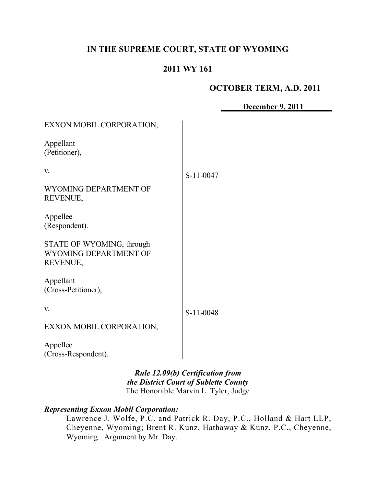# **IN THE SUPREME COURT, STATE OF WYOMING**

# **2011 WY 161**

## **OCTOBER TERM, A.D. 2011**

**December 9, 2011**

| EXXON MOBIL CORPORATION,                                       |           |
|----------------------------------------------------------------|-----------|
| Appellant<br>(Petitioner),                                     |           |
| V.                                                             | S-11-0047 |
| WYOMING DEPARTMENT OF<br>REVENUE,                              |           |
| Appellee<br>(Respondent).                                      |           |
| STATE OF WYOMING, through<br>WYOMING DEPARTMENT OF<br>REVENUE, |           |
| Appellant<br>(Cross-Petitioner),                               |           |
| V.                                                             | S-11-0048 |
| EXXON MOBIL CORPORATION,                                       |           |
| Appellee<br>(Cross-Respondent).                                |           |

*Rule 12.09(b) Certification from the District Court of Sublette County* The Honorable Marvin L. Tyler, Judge

# *Representing Exxon Mobil Corporation:*

Lawrence J. Wolfe, P.C. and Patrick R. Day, P.C., Holland & Hart LLP, Cheyenne, Wyoming; Brent R. Kunz, Hathaway & Kunz, P.C., Cheyenne, Wyoming. Argument by Mr. Day.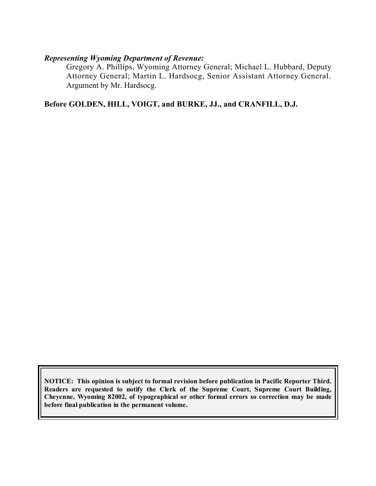## *Representing Wyoming Department of Revenue:*

Gregory A. Phillips, Wyoming Attorney General; Michael L. Hubbard, Deputy Attorney General; Martin L. Hardsocg, Senior Assistant Attorney General. Argument by Mr. Hardsocg.

**Before GOLDEN, HILL, VOIGT, and BURKE, JJ., and CRANFILL, D.J.**

**NOTICE: This opinion is subject to formal revision before publication in Pacific Reporter Third. Readers are requested to notify the Clerk of the Supreme Court, Supreme Court Building, Cheyenne, Wyoming 82002, of typographical or other formal errors so correction may be made before final publication in the permanent volume.**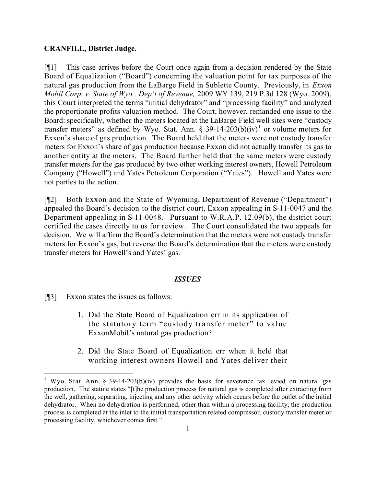### **CRANFILL, District Judge.**

[¶1] This case arrives before the Court once again from a decision rendered by the State Board of Equalization ("Board") concerning the valuation point for tax purposes of the natural gas production from the LaBarge Field in Sublette County. Previously, in *Exxon Mobil Corp. v. State of Wyo., Dep't of Revenue,* 2009 WY 139, 219 P.3d 128 (Wyo. 2009), this Court interpreted the terms "initial dehydrator" and "processing facility" and analyzed the proportionate profits valuation method. The Court, however, remanded one issue to the Board: specifically, whether the meters located at the LaBarge Field well sites were "custody transfer meters" as defined by Wyo. Stat. Ann. § 39-14-203(b)(iv)<sup>1</sup> or volume meters for Exxon's share of gas production. The Board held that the meters were not custody transfer meters for Exxon's share of gas production because Exxon did not actually transfer its gas to another entity at the meters. The Board further held that the same meters were custody transfer meters for the gas produced by two other working interest owners, Howell Petroleum Company ("Howell") and Yates Petroleum Corporation ("Yates"). Howell and Yates were not parties to the action.

[¶2] Both Exxon and the State of Wyoming, Department of Revenue ("Department") appealed the Board's decision to the district court, Exxon appealing in S-11-0047 and the Department appealing in S-11-0048. Pursuant to W.R.A.P. 12.09(b), the district court certified the cases directly to us for review. The Court consolidated the two appeals for decision. We will affirm the Board's determination that the meters were not custody transfer meters for Exxon's gas, but reverse the Board's determination that the meters were custody transfer meters for Howell's and Yates' gas.

#### *ISSUES*

[¶3] Exxon states the issues as follows:

- 1. Did the State Board of Equalization err in its application of the statutory term "custody transfer meter" to value ExxonMobil's natural gas production?
- 2. Did the State Board of Equalization err when it held that working interest owners Howell and Yates deliver their

<sup>&</sup>lt;sup>1</sup> Wyo. Stat. Ann. § 39-14-203(b)(iv) provides the basis for severance tax levied on natural gas production. The statute states "[t]he production process for natural gas is completed after extracting from the well, gathering, separating, injecting and any other activity which occurs before the outlet of the initial dehydrator. When no dehydration is performed, other than within a processing facility, the production process is completed at the inlet to the initial transportation related compressor, custody transfer meter or processing facility, whichever comes first."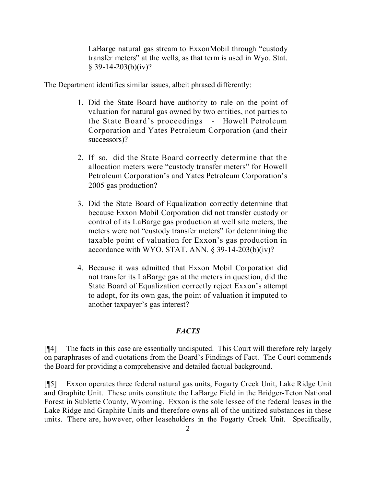LaBarge natural gas stream to ExxonMobil through "custody transfer meters" at the wells, as that term is used in Wyo. Stat.  $§$  39-14-203(b)(iv)?

The Department identifies similar issues, albeit phrased differently:

- 1. Did the State Board have authority to rule on the point of valuation for natural gas owned by two entities, not parties to the State Board's proceedings - Howell Petroleum Corporation and Yates Petroleum Corporation (and their successors)?
- 2. If so, did the State Board correctly determine that the allocation meters were "custody transfer meters" for Howell Petroleum Corporation's and Yates Petroleum Corporation's 2005 gas production?
- 3. Did the State Board of Equalization correctly determine that because Exxon Mobil Corporation did not transfer custody or control of its LaBarge gas production at well site meters, the meters were not "custody transfer meters" for determining the taxable point of valuation for Exxon's gas production in accordance with WYO. STAT. ANN. § 39-14-203(b)(iv)?
- 4. Because it was admitted that Exxon Mobil Corporation did not transfer its LaBarge gas at the meters in question, did the State Board of Equalization correctly reject Exxon's attempt to adopt, for its own gas, the point of valuation it imputed to another taxpayer's gas interest?

### *FACTS*

[¶4] The facts in this case are essentially undisputed. This Court will therefore rely largely on paraphrases of and quotations from the Board's Findings of Fact. The Court commends the Board for providing a comprehensive and detailed factual background.

[¶5] Exxon operates three federal natural gas units, Fogarty Creek Unit, Lake Ridge Unit and Graphite Unit. These units constitute the LaBarge Field in the Bridger-Teton National Forest in Sublette County, Wyoming. Exxon is the sole lessee of the federal leases in the Lake Ridge and Graphite Units and therefore owns all of the unitized substances in these units. There are, however, other leaseholders in the Fogarty Creek Unit. Specifically,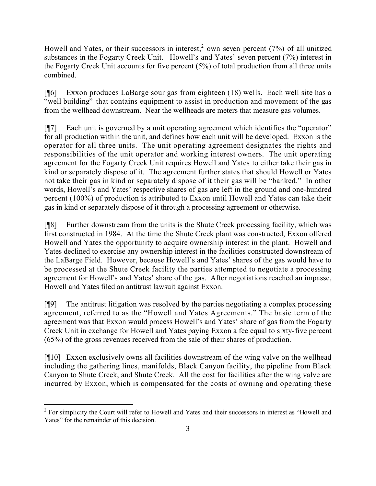Howell and Yates, or their successors in interest,<sup>2</sup> own seven percent (7%) of all unitized substances in the Fogarty Creek Unit. Howell's and Yates' seven percent (7%) interest in the Fogarty Creek Unit accounts for five percent (5%) of total production from all three units combined.

[¶6] Exxon produces LaBarge sour gas from eighteen (18) wells. Each well site has a "well building" that contains equipment to assist in production and movement of the gas from the wellhead downstream. Near the wellheads are meters that measure gas volumes.

[¶7] Each unit is governed by a unit operating agreement which identifies the "operator" for all production within the unit, and defines how each unit will be developed. Exxon is the operator for all three units. The unit operating agreement designates the rights and responsibilities of the unit operator and working interest owners. The unit operating agreement for the Fogarty Creek Unit requires Howell and Yates to either take their gas in kind or separately dispose of it. The agreement further states that should Howell or Yates not take their gas in kind or separately dispose of it their gas will be "banked." In other words, Howell's and Yates' respective shares of gas are left in the ground and one-hundred percent (100%) of production is attributed to Exxon until Howell and Yates can take their gas in kind or separately dispose of it through a processing agreement or otherwise.

[¶8] Further downstream from the units is the Shute Creek processing facility, which was first constructed in 1984. At the time the Shute Creek plant was constructed, Exxon offered Howell and Yates the opportunity to acquire ownership interest in the plant. Howell and Yates declined to exercise any ownership interest in the facilities constructed downstream of the LaBarge Field. However, because Howell's and Yates' shares of the gas would have to be processed at the Shute Creek facility the parties attempted to negotiate a processing agreement for Howell's and Yates' share of the gas. After negotiations reached an impasse, Howell and Yates filed an antitrust lawsuit against Exxon.

[¶9] The antitrust litigation was resolved by the parties negotiating a complex processing agreement, referred to as the "Howell and Yates Agreements." The basic term of the agreement was that Exxon would process Howell's and Yates' share of gas from the Fogarty Creek Unit in exchange for Howell and Yates paying Exxon a fee equal to sixty-five percent (65%) of the gross revenues received from the sale of their shares of production.

[¶10] Exxon exclusively owns all facilities downstream of the wing valve on the wellhead including the gathering lines, manifolds, Black Canyon facility, the pipeline from Black Canyon to Shute Creek, and Shute Creek. All the cost for facilities after the wing valve are incurred by Exxon, which is compensated for the costs of owning and operating these

 $\overline{a}$ <sup>2</sup> For simplicity the Court will refer to Howell and Yates and their successors in interest as "Howell and Yates" for the remainder of this decision.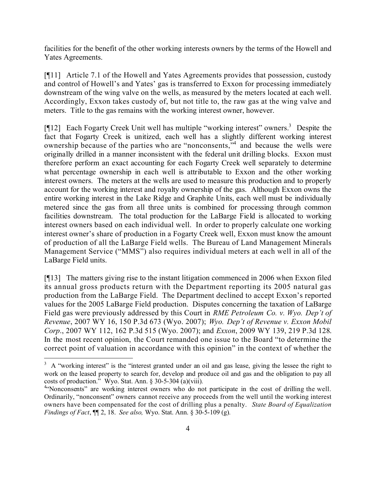facilities for the benefit of the other working interests owners by the terms of the Howell and Yates Agreements.

[¶11] Article 7.1 of the Howell and Yates Agreements provides that possession, custody and control of Howell's and Yates' gas is transferred to Exxon for processing immediately downstream of the wing valve on the wells, as measured by the meters located at each well. Accordingly, Exxon takes custody of, but not title to, the raw gas at the wing valve and meters. Title to the gas remains with the working interest owner, however.

[ $[$ [12] Each Fogarty Creek Unit well has multiple "working interest" owners.<sup>3</sup> Despite the fact that Fogarty Creek is unitized, each well has a slightly different working interest ownership because of the parties who are "nonconsents,"<sup>4</sup> and because the wells were originally drilled in a manner inconsistent with the federal unit drilling blocks. Exxon must therefore perform an exact accounting for each Fogarty Creek well separately to determine what percentage ownership in each well is attributable to Exxon and the other working interest owners. The meters at the wells are used to measure this production and to properly account for the working interest and royalty ownership of the gas. Although Exxon owns the entire working interest in the Lake Ridge and Graphite Units, each well must be individually metered since the gas from all three units is combined for processing through common facilities downstream. The total production for the LaBarge Field is allocated to working interest owners based on each individual well. In order to properly calculate one working interest owner's share of production in a Fogarty Creek well, Exxon must know the amount of production of all the LaBarge Field wells. The Bureau of Land Management Minerals Management Service ("MMS") also requires individual meters at each well in all of the LaBarge Field units.

[¶13] The matters giving rise to the instant litigation commenced in 2006 when Exxon filed its annual gross products return with the Department reporting its 2005 natural gas production from the LaBarge Field. The Department declined to accept Exxon's reported values for the 2005 LaBarge Field production. Disputes concerning the taxation of LaBarge Field gas were previously addressed by this Court in *RME Petroleum Co. v. Wyo. Dep't of Revenue*, 2007 WY 16, 150 P.3d 673 (Wyo. 2007); *Wyo. Dep't of Revenue v. Exxon Mobil Corp*., 2007 WY 112, 162 P.3d 515 (Wyo. 2007); and *Exxon*, 2009 WY 139, 219 P.3d 128. In the most recent opinion, the Court remanded one issue to the Board "to determine the correct point of valuation in accordance with this opinion" in the context of whether the

 $3\,$  A "working interest" is the "interest granted under an oil and gas lease, giving the lessee the right to work on the leased property to search for, develop and produce oil and gas and the obligation to pay all costs of production." Wyo. Stat. Ann. § 30-5-304 (a)(viii)*.*

<sup>&</sup>lt;sup>4.</sup> Nonconsents" are working interest owners who do not participate in the cost of drilling the well. Ordinarily, "nonconsent" owners cannot receive any proceeds from the well until the working interest owners have been compensated for the cost of drilling plus a penalty. *State Board of Equalization Findings of Fact*, ¶¶ 2, 18. *See also,* Wyo. Stat. Ann. § 30-5-109 (g)*.*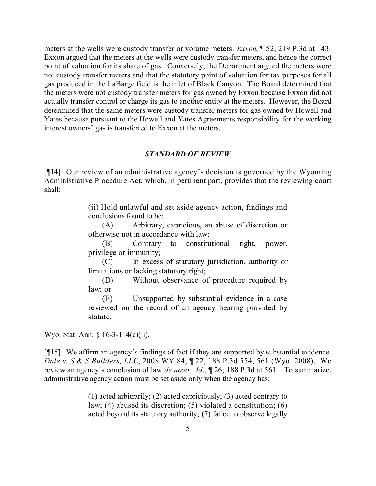meters at the wells were custody transfer or volume meters. *Exxon*, ¶ 52, 219 P.3d at 143. Exxon argued that the meters at the wells were custody transfer meters, and hence the correct point of valuation for its share of gas. Conversely, the Department argued the meters were not custody transfer meters and that the statutory point of valuation for tax purposes for all gas produced in the LaBarge field is the inlet of Black Canyon. The Board determined that the meters were not custody transfer meters for gas owned by Exxon because Exxon did not actually transfer control or charge its gas to another entity at the meters. However, the Board determined that the same meters were custody transfer meters for gas owned by Howell and Yates because pursuant to the Howell and Yates Agreements responsibility for the working interest owners' gas is transferred to Exxon at the meters.

#### *STANDARD OF REVIEW*

[¶14] Our review of an administrative agency's decision is governed by the Wyoming Administrative Procedure Act, which, in pertinent part, provides that the reviewing court shall:

> (ii) Hold unlawful and set aside agency action, findings and conclusions found to be:

> (A) Arbitrary, capricious, an abuse of discretion or otherwise not in accordance with law;

> (B) Contrary to constitutional right, power, privilege or immunity;

> (C) In excess of statutory jurisdiction, authority or limitations or lacking statutory right;

> (D) Without observance of procedure required by law; or

> (E) Unsupported by substantial evidence in a case reviewed on the record of an agency hearing provided by statute.

Wyo. Stat. Ann. § 16-3-114(c)(ii).

[¶15] We affirm an agency's findings of fact if they are supported by substantial evidence. *Dale v. S & S Builders, LLC*, 2008 WY 84, ¶ 22, 188 P.3d 554, 561 (Wyo. 2008). We review an agency's conclusion of law *de novo*. *Id*., ¶ 26, 188 P.3d at 561. To summarize, administrative agency action must be set aside only when the agency has:

> (1) acted arbitrarily; (2) acted capriciously; (3) acted contrary to law; (4) abused its discretion; (5) violated a constitution; (6) acted beyond its statutory authority; (7) failed to observe legally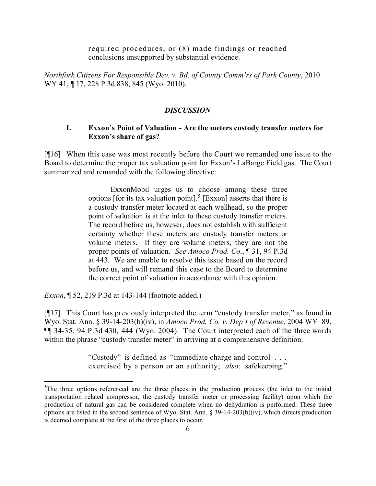required procedures; or (8) made findings or reached conclusions unsupported by substantial evidence.

*Northfork Citizens For Responsible Dev. v. Bd. of County Comm'rs of Park County*, 2010 WY 41, ¶ 17, 228 P.3d 838, 845 (Wyo. 2010).

### *DISCUSSION*

### **I. Exxon's Point of Valuation - Are the meters custody transfer meters for Exxon's share of gas?**

[¶16] When this case was most recently before the Court we remanded one issue to the Board to determine the proper tax valuation point for Exxon's LaBarge Field gas. The Court summarized and remanded with the following directive:

> ExxonMobil urges us to choose among these three options [for its tax valuation point].<sup>5</sup> [Exxon] asserts that there is a custody transfer meter located at each wellhead, so the proper point of valuation is at the inlet to these custody transfer meters. The record before us, however, does not establish with sufficient certainty whether these meters are custody transfer meters or volume meters. If they are volume meters, they are not the proper points of valuation. *See Amoco Prod. Co*., ¶ 31, 94 P.3d at 443. We are unable to resolve this issue based on the record before us, and will remand this case to the Board to determine the correct point of valuation in accordance with this opinion.

*Exxon*, **[52, 219 P.3d at 143-144 (footnote added.)** 

 $\overline{a}$ 

[¶17] This Court has previously interpreted the term "custody transfer meter," as found in Wyo. Stat. Ann. § 39-14-203(b)(iv), in *Amoco Prod. Co. v. Dep't of Revenue*, 2004 WY 89, ¶¶ 34-35, 94 P.3d 430, 444 (Wyo. 2004). The Court interpreted each of the three words within the phrase "custody transfer meter" in arriving at a comprehensive definition.

> "Custody" is defined as "immediate charge and control . . . exercised by a person or an authority; *also*: safekeeping."

<sup>&</sup>lt;sup>5</sup>The three options referenced are the three places in the production process (the inlet to the initial transportation related compressor, the custody transfer meter or processing facility) upon which the production of natural gas can be considered complete when no dehydration is performed. These three options are listed in the second sentence of Wyo. Stat. Ann. § 39-14-203(b)(iv), which directs production is deemed complete at the first of the three places to occur.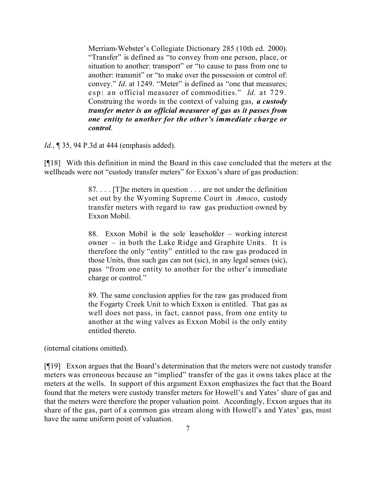Merriam-Webster's Collegiate Dictionary 285 (10th ed. 2000). "Transfer" is defined as "to convey from one person, place, or situation to another: transport" or "to cause to pass from one to another: transmit" or "to make over the possession or control of: convey." *Id.* at 1249. "Meter" is defined as "one that measures; esp: an official measurer of commodities." *Id*. at 729. Construing the words in the context of valuing gas, *a custody transfer meter is an official measurer of gas as it passes from one entity to another for the other's immediate charge or control*.

*Id.*, ¶ 35, 94 P.3d at 444 (emphasis added).

[¶18] With this definition in mind the Board in this case concluded that the meters at the wellheads were not "custody transfer meters" for Exxon's share of gas production:

> 87. . . . [T]he meters in question . . . are not under the definition set out by the Wyoming Supreme Court in *Amoco*, custody transfer meters with regard to raw gas production owned by Exxon Mobil.

> 88. Exxon Mobil is the sole leaseholder – working interest owner – in both the Lake Ridge and Graphite Units. It is therefore the only "entity" entitled to the raw gas produced in those Units, thus such gas can not (sic), in any legal senses (sic), pass "from one entity to another for the other's immediate charge or control."

> 89. The same conclusion applies for the raw gas produced from the Fogarty Creek Unit to which Exxon is entitled. That gas as well does not pass, in fact, cannot pass, from one entity to another at the wing valves as Exxon Mobil is the only entity entitled thereto.

(internal citations omitted).

[¶19] Exxon argues that the Board's determination that the meters were not custody transfer meters was erroneous because an "implied" transfer of the gas it owns takes place at the meters at the wells. In support of this argument Exxon emphasizes the fact that the Board found that the meters were custody transfer meters for Howell's and Yates' share of gas and that the meters were therefore the proper valuation point. Accordingly, Exxon argues that its share of the gas, part of a common gas stream along with Howell's and Yates' gas, must have the same uniform point of valuation.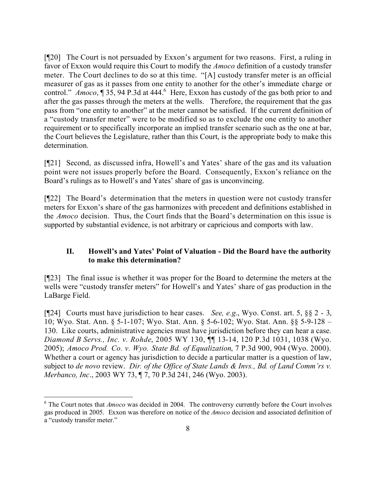[¶20] The Court is not persuaded by Exxon's argument for two reasons. First, a ruling in favor of Exxon would require this Court to modify the *Amoco* definition of a custody transfer meter. The Court declines to do so at this time. "[A] custody transfer meter is an official measurer of gas as it passes from one entity to another for the other's immediate charge or control." *Amoco*, ¶ 35, 94 P.3d at 444.<sup>6</sup> Here, Exxon has custody of the gas both prior to and after the gas passes through the meters at the wells. Therefore, the requirement that the gas pass from "one entity to another" at the meter cannot be satisfied. If the current definition of a "custody transfer meter" were to be modified so as to exclude the one entity to another requirement or to specifically incorporate an implied transfer scenario such as the one at bar, the Court believes the Legislature, rather than this Court, is the appropriate body to make this determination.

[¶21] Second, as discussed infra, Howell's and Yates' share of the gas and its valuation point were not issues properly before the Board. Consequently, Exxon's reliance on the Board's rulings as to Howell's and Yates' share of gas is unconvincing.

[¶22] The Board's determination that the meters in question were not custody transfer meters for Exxon's share of the gas harmonizes with precedent and definitions established in the *Amoco* decision. Thus, the Court finds that the Board's determination on this issue is supported by substantial evidence, is not arbitrary or capricious and comports with law.

## **II. Howell's and Yates' Point of Valuation - Did the Board have the authority to make this determination?**

[¶23] The final issue is whether it was proper for the Board to determine the meters at the wells were "custody transfer meters" for Howell's and Yates' share of gas production in the LaBarge Field.

[¶24] Courts must have jurisdiction to hear cases. *See, e.g*., Wyo. Const. art. 5, §§ 2 - 3, 10; Wyo. Stat. Ann. § 5-1-107; Wyo. Stat. Ann. § 5-6-102; Wyo. Stat. Ann. §§ 5-9-128 – 130. Like courts, administrative agencies must have jurisdiction before they can hear a case. *Diamond B Servs., Inc. v. Rohde*, 2005 WY 130, ¶¶ 13-14, 120 P.3d 1031, 1038 (Wyo. 2005); *Amoco Prod. Co. v. Wyo. State Bd. of Equalization*, 7 P.3d 900, 904 (Wyo. 2000). Whether a court or agency has jurisdiction to decide a particular matter is a question of law, subject to *de novo* review. *Dir. of the Office of State Lands & Invs., Bd. of Land Comm'rs v. Merbanco, Inc*., 2003 WY 73, ¶ 7, 70 P.3d 241, 246 (Wyo. 2003).

<sup>&</sup>lt;sup>6</sup> The Court notes that *Amoco* was decided in 2004. The controversy currently before the Court involves gas produced in 2005. Exxon was therefore on notice of the *Amoco* decision and associated definition of a "custody transfer meter."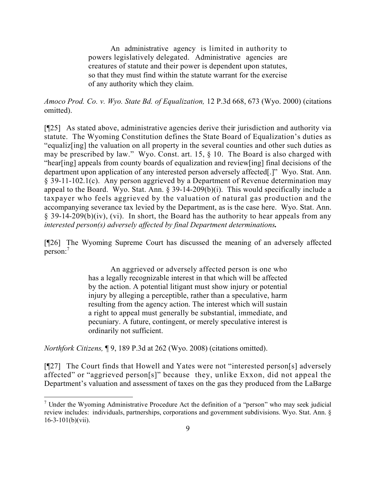An administrative agency is limited in authority to powers legislatively delegated. Administrative agencies are creatures of statute and their power is dependent upon statutes, so that they must find within the statute warrant for the exercise of any authority which they claim.

*Amoco Prod. Co. v. Wyo. State Bd. of Equalization,* 12 P.3d 668, 673 (Wyo. 2000) (citations omitted).

[¶25] As stated above, administrative agencies derive their jurisdiction and authority via statute. The Wyoming Constitution defines the State Board of Equalization's duties as "equaliz[ing] the valuation on all property in the several counties and other such duties as may be prescribed by law." Wyo. Const. art. 15, § 10. The Board is also charged with "hear[ing] appeals from county boards of equalization and review[ing] final decisions of the department upon application of any interested person adversely affected[.]" Wyo. Stat. Ann. § 39-11-102.1(c). Any person aggrieved by a Department of Revenue determination may appeal to the Board. Wyo. Stat. Ann. § 39-14-209(b)(i). This would specifically include a taxpayer who feels aggrieved by the valuation of natural gas production and the accompanying severance tax levied by the Department, as is the case here. Wyo. Stat. Ann.  $\S$  39-14-209(b)(iv), (vi). In short, the Board has the authority to hear appeals from any *interested person(s) adversely affected by final Department determinations.*

[¶26] The Wyoming Supreme Court has discussed the meaning of an adversely affected person:<sup>7</sup>

> An aggrieved or adversely affected person is one who has a legally recognizable interest in that which will be affected by the action. A potential litigant must show injury or potential injury by alleging a perceptible, rather than a speculative, harm resulting from the agency action. The interest which will sustain a right to appeal must generally be substantial, immediate, and pecuniary. A future, contingent, or merely speculative interest is ordinarily not sufficient.

*Northfork Citizens,* ¶ 9, 189 P.3d at 262 (Wyo. 2008) (citations omitted).

 $\overline{a}$ 

[¶27] The Court finds that Howell and Yates were not "interested person[s] adversely affected" or "aggrieved person[s]" because they, unlike Exxon, did not appeal the Department's valuation and assessment of taxes on the gas they produced from the LaBarge

 $<sup>7</sup>$  Under the Wyoming Administrative Procedure Act the definition of a "person" who may seek judicial</sup> review includes: individuals, partnerships, corporations and government subdivisions. Wyo. Stat. Ann. §  $16-3-101(b)(vii)$ .